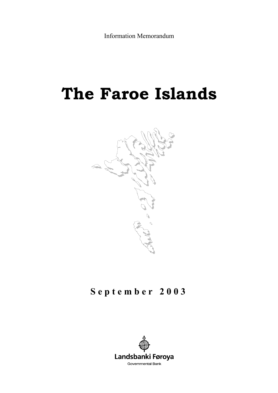Information Memorandum

# **The Faroe Islands**



# **September 2003**

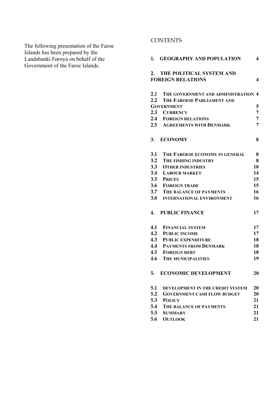The following presentation of the Faroe Islands has been prepared by the Landsbanki Føroya on behalf of the Government of the Faroe Islands.

# **CONTENTS**

| 1.  | <b>GEOGRAPHY AND POPULATION</b>                      | 4              |
|-----|------------------------------------------------------|----------------|
| 2.  | THE POLITICAL SYSTEM AND<br><b>FOREIGN RELATIONS</b> | 4              |
| 2.1 | THE GOVERNMENT AND ADMINISTRATION                    | 4              |
| 2.2 | THE FAROESE PARLIAMENT AND                           |                |
|     | <b>GOVERNMENT</b>                                    | 5              |
|     | 2.3 CURRENCY                                         | $\overline{7}$ |
|     | <b>2.4 FOREIGN RELATIONS</b>                         | 7              |
|     | <b>2.5 AGREEMENTS WITH DENMARK</b>                   | 7              |
| 3.  | <b>ECONOMY</b>                                       | 8              |
| 3.1 | THE FAROESE ECONOMY IN GENERAL                       | 8              |
| 3.2 | THE FISHING INDUSTRY                                 | 8              |
| 3.3 | <b>OTHER INDUSTRIES</b>                              | 10             |
| 3.4 | <b>LABOUR MARKET</b>                                 | 14             |
| 3.5 | <b>PRICES</b>                                        | 15             |
| 3.6 | <b>FOREIGN TRADE</b>                                 | 15             |
| 3.7 | <b>THE BALANCE OF PAYMENTS</b>                       | 16             |
| 3.8 | <b>INTERNATIONAL ENVIRONMENT</b>                     | 16             |
| 4.  | <b>PUBLIC FINANCE</b>                                | 17             |
| 4.1 | <b>FINANCIAL SYSTEM</b>                              | 17             |
| 4.2 | <b>PUBLIC INCOME</b>                                 | 17             |
| 4.3 | <b>PUBLIC EXPENDITURE</b>                            | 18             |
| 4.4 | <b>PAYMENTS FROM DENMARK</b>                         | 18             |
| 4.5 | <b>FOREIGN DEBT</b>                                  | 18             |
| 4.6 | <b>THE MUNICIPALITIES</b>                            | 19             |
| 5.  | <b>ECONOMIC DEVELOPMENT</b>                          | 20             |
| 5.1 | DEVELOPMENT IN THE CREDIT SYSTEM                     | 20             |
| 5.2 | <b>GOVERNMENT CASH FLOW BUDGET</b>                   | 20             |
| 5.3 | <b>POLICY</b>                                        | 21             |
| 5.4 | THE BALANCE OF PAYMENTS                              | 21             |
| 5.5 | SUMMARY                                              | 21             |
| 5.6 | <b>OUTLOOK</b>                                       | 21             |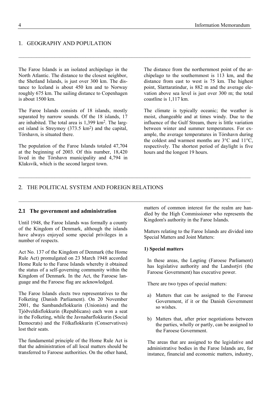#### 1. GEOGRAPHY AND POPULATION

The Faroe Islands is an isolated archipelago in the North Atlantic. The distance to the closest neighbor, the Shetland Islands, is just over 300 km. The distance to Iceland is about 450 km and to Norway roughly 675 km. The sailing distance to Copenhagen is about 1500 km.

 $\mathcal{L}_\mathcal{L} = \{ \mathcal{L}_\mathcal{L} = \{ \mathcal{L}_\mathcal{L} = \{ \mathcal{L}_\mathcal{L} = \{ \mathcal{L}_\mathcal{L} = \{ \mathcal{L}_\mathcal{L} = \{ \mathcal{L}_\mathcal{L} = \{ \mathcal{L}_\mathcal{L} = \{ \mathcal{L}_\mathcal{L} = \{ \mathcal{L}_\mathcal{L} = \{ \mathcal{L}_\mathcal{L} = \{ \mathcal{L}_\mathcal{L} = \{ \mathcal{L}_\mathcal{L} = \{ \mathcal{L}_\mathcal{L} = \{ \mathcal{L}_\mathcal{$ 

 $\mathcal{L}_\mathcal{L} = \{ \mathcal{L}_\mathcal{L} = \{ \mathcal{L}_\mathcal{L} = \{ \mathcal{L}_\mathcal{L} = \{ \mathcal{L}_\mathcal{L} = \{ \mathcal{L}_\mathcal{L} = \{ \mathcal{L}_\mathcal{L} = \{ \mathcal{L}_\mathcal{L} = \{ \mathcal{L}_\mathcal{L} = \{ \mathcal{L}_\mathcal{L} = \{ \mathcal{L}_\mathcal{L} = \{ \mathcal{L}_\mathcal{L} = \{ \mathcal{L}_\mathcal{L} = \{ \mathcal{L}_\mathcal{L} = \{ \mathcal{L}_\mathcal{$ 

 $\mathcal{L}_\mathcal{L} = \{ \mathcal{L}_\mathcal{L} = \{ \mathcal{L}_\mathcal{L} = \{ \mathcal{L}_\mathcal{L} = \{ \mathcal{L}_\mathcal{L} = \{ \mathcal{L}_\mathcal{L} = \{ \mathcal{L}_\mathcal{L} = \{ \mathcal{L}_\mathcal{L} = \{ \mathcal{L}_\mathcal{L} = \{ \mathcal{L}_\mathcal{L} = \{ \mathcal{L}_\mathcal{L} = \{ \mathcal{L}_\mathcal{L} = \{ \mathcal{L}_\mathcal{L} = \{ \mathcal{L}_\mathcal{L} = \{ \mathcal{L}_\mathcal{$ 

The Faroe Islands consists of 18 islands, mostly separated by narrow sounds. Of the 18 islands, 17 are inhabited. The total area is 1,399 km2. The largest island is Streymoy (373.5 km2) and the capital, Tórshavn, is situated there.

The population of the Faroe Islands totaled 47,704 at the beginning of 2003. Of this number, 18,420 lived in the Tórshavn municipality and 4,794 in Klaksvík, which is the second largest town.

The distance from the northernmost point of the archipelago to the southernmost is 113 km, and the distance from east to west is 75 km. The highest point, Slættaratindur, is 882 m and the average elevation above sea level is just over 300 m; the total coastline is 1,117 km.

The climate is typically oceanic; the weather is moist, changeable and at times windy. Due to the influence of the Gulf Stream, there is little variation between winter and summer temperatures. For example, the average temperatures in Tórshavn during the coldest and warmest months are 3°C and 11°C, respectively. The shortest period of daylight is five hours and the longest 19 hours.

#### 2. THE POLITICAL SYSTEM AND FOREIGN RELATIONS

#### **2.1 The government and administration**

Until 1948, the Faroe Islands was formally a county of the Kingdom of Denmark, although the islands have always enjoyed some special privileges in a number of respects.

Act No. 137 of the Kingdom of Denmark (the Home Rule Act) promulgated on 23 March 1948 accorded Home Rule to the Faroe Islands whereby it obtained the status of a self-governing community within the Kingdom of Denmark. In the Act, the Faroese language and the Faroese flag are acknowledged.

The Faroe Islands elects two representatives to the Folketing (Danish Parliament). On 20 November 2001, the Sambandsflokkurin (Unionists) and the Tjóðveldisflokkurin (Republicans) each won a seat in the Folketing, while the Javnaðarflokkurin (Social Democrats) and the Fólkaflokkurin (Conservatives) lost their seats.

The fundamental principle of the Home Rule Act is that the administration of all local matters should be transferred to Faroese authorities. On the other hand,

matters of common interest for the realm are handled by the High Commissioner who represents the Kingdom's authority in the Faroe Islands.

Matters relating to the Faroe Islands are divided into Special Matters and Joint Matters:

#### **1) Special matters**

In these areas, the Løgting (Faroese Parliament) has legislative authority and the Landsstýri (the Faroese Government) has executive power.

There are two types of special matters:

- a) Matters that can be assigned to the Faroese Government, if it or the Danish Government so wishes.
- b) Matters that, after prior negotiations between the parties, wholly or partly, can be assigned to the Faroese Government.

The areas that are assigned to the legislative and administrative bodies in the Faroe Islands are, for instance, financial and economic matters, industry,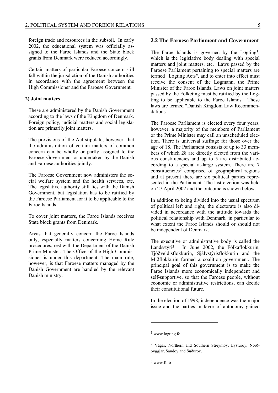foreign trade and resources in the subsoil. In early 2002, the educational system was officially assigned to the Faroe Islands and the State block grants from Denmark were reduced accordingly.

Certain matters of particular Faroese concern still fall within the jurisdiction of the Danish authorities in accordance with the agreement between the High Commissioner and the Faroese Government.

#### **2) Joint matters**

These are administered by the Danish Government according to the laws of the Kingdom of Denmark. Foreign policy, judicial matters and social legislation are primarily joint matters.

The provisions of the Act stipulate, however, that the administration of certain matters of common concern can be wholly or partly assigned to the Faroese Government or undertaken by the Danish and Faroese authorities jointly.

The Faroese Government now administers the social welfare system and the health services, etc. The legislative authority still lies with the Danish Government, but legislation has to be ratified by the Faroese Parliament for it to be applicable to the Faroe Islands.

To cover joint matters, the Faroe Islands receives State block grants from Denmark.

Areas that generally concern the Faroe Islands only, especially matters concerning Home Rule procedures, rest with the Department of the Danish Prime Minister. The Office of the High Commissioner is under this department. The main rule, however, is that Faroese matters managed by the Danish Government are handled by the relevant Danish ministry.

#### **2.2 The Faroese Parliament and Government**

The Faroe Islands is governed by the Løgting<sup>1</sup>, which is the legislative body dealing with special matters and joint matters, etc. Laws passed by the Faroese Parliament pertaining to special matters are termed "Løgting Acts", and to enter into effect must receive the consent of the Løgmann, the Prime Minister of the Faroe Islands. Laws on joint matters passed by the Folketing must be ratified by the Løgting to be applicable to the Faroe Islands. These laws are termed "Danish Kingdom Law Recommendations".

The Faroese Parliament is elected every four years, however, a majority of the members of Parliament or the Prime Minister may call an unscheduled election. There is universal suffrage for those over the age of 18. The Parliament consists of up to 33 members of which 28 are directly elected from the various constituencies and up to 5 are distributed according to a special at-large system. There are 7 constituencies2 comprised of geographical regions and at present there are six political parties represented in the Parliament. The last election was held on 27 April 2002 and the outcome is shown below.

In addition to being divided into the usual spectrum of political left and right, the electorate is also divided in accordance with the attitude towards the political relationship with Denmark, in particular to what extent the Faroe Islands should or should not be independent of Denmark.

The executive or administrative body is called the Landsstýri3. In June 2002, the Fólkaflokkurin, Tjóðveldisflokkurin, Sjálvstýrisflokkurin and the Miðflokkurin formed a coalition government. The principal goal of this government is to make the Faroe Islands more economically independent and self-supportive, so that the Faroese people, without economic or administrative restrictions, can decide their constitutional future.

In the election of 1998, independence was the major issue and the parties in favor of autonomy gained

<sup>1</sup> www.logting.fo

<sup>2</sup> Vágar, Northern and Southern Streymoy, Eysturoy, Norðoyggjar, Sandoy and Suðuroy.

 $3$  www.fl.fo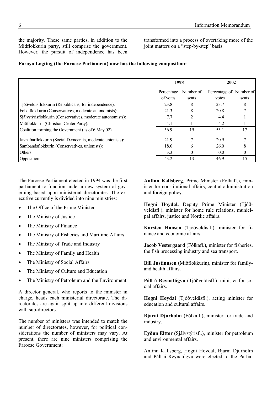the majority. These same parties, in addition to the Midflokkurin party, still comprise the government. However, the pursuit of independence has been

transformed into a process of overtaking more of the joint matters on a "step-by-step" basis.

#### **Føroya Løgting (the Faroese Parliament) now has the following composition:**

|                                                             | 1998                   |                    | 2002                             |       |
|-------------------------------------------------------------|------------------------|--------------------|----------------------------------|-------|
|                                                             | Percentage<br>of votes | Number of<br>seats | Percentage of Number of<br>votes | seats |
| Tjóðveldisflokkurin (Republicans, for independence):        | 23.8                   | 8                  | 23.7                             | 8     |
| Fólkaflokkurin (Conservatives, moderate autonomists):       | 21.3                   | 8                  | 20.8                             |       |
| Sjálvstýrisflokkurin (Conservatives, moderate autonomists): | 7.7                    | $\overline{2}$     | 4.4                              |       |
| Miðflokkurin (Christian Center Party):                      | 4.1                    |                    | 4.2                              |       |
| Coalition forming the Government (as of 6 May 02)           | 56.9                   | 19                 | 53.1                             | 17    |
| Javnaðarflokkurin (Social Democrats, moderate unionists):   | 21.9                   |                    | 20.9                             |       |
| Sambandsflokkurin (Conservatives, unionists):               | 18.0                   | 6                  | 26.0                             |       |
| <b>Others</b>                                               | 3.3                    | $\theta$           | 0.0                              | 0     |
| Opposition:                                                 | 43.2                   | 13                 | 46.9                             | 15    |

The Faroese Parliament elected in 1994 was the first parliament to function under a new system of governing based upon ministerial directorates. The executive currently is divided into nine ministries:

- The Office of the Prime Minister
- The Ministry of Justice
- The Ministry of Finance
- The Ministry of Fisheries and Maritime Affairs
- The Ministry of Trade and Industry
- The Ministry of Family and Health
- The Ministry of Social Affairs
- The Ministry of Culture and Education
- The Ministry of Petroleum and the Environment

A director general, who reports to the minister in charge, heads each ministerial directorate. The directorates are again split up into different divisions with sub-directors.

The number of ministers was intended to match the number of directorates, however, for political considerations the number of ministers may vary. At present, there are nine ministers comprising the Faroese Government:

**Anfinn Kallsberg**, Prime Minister (Fólkafl.), minister for constitutional affairs, central administration and foreign policy.

**Høgni Hoydal,** Deputy Prime Minister (Tjóðveldisfl.), minister for home rule relations, municipal affairs, justice and Nordic affairs.

**Karsten Hansen** (Tjóðveldisfl.), minister for finance and economic affairs.

**Jacob Vestergaard** (Fólkafl.), minister for fisheries, the fish processing industry and sea transport.

**Bill Justinusen** (Miðflokkurin), minister for familyand health affairs.

**Páll á Reynatúgvu** (Tjóðveldisfl.), minister for social affairs.

**Høgni Hoydal** (Tjóðveldisfl.), acting minister for education and cultural affairs.

**Bjarni Djurholm** (Fólkafl.)**,** minister for trade and industry.

**Eyðun Elttør** (Sjálvstýrisfl.), minister for petroleum and environmental affairs.

Anfinn Kallsberg, Høgni Hoydal, Bjarni Djurholm and Páll á Reynatúgvu were elected to the Parlia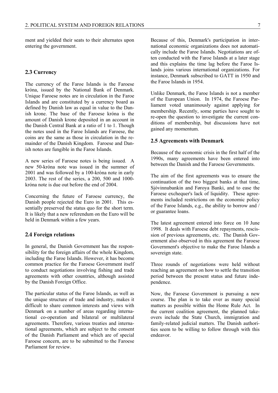ment and yielded their seats to their alternates upon entering the government.

#### **2.3 Currency**

The currency of the Faroe Islands is the Faroese króna, issued by the National Bank of Denmark. Unique Faroese notes are in circulation in the Faroe Islands and are constituted by a currency board as defined by Danish law as equal in value to the Danish krone. The base of the Faroese króna is the amount of Danish krone deposited in an account in the Danish Central Bank at a ratio of 1 to 1. Though the notes used in the Faroe Islands are Faroese, the coins are the same as those in circulation in the remainder of the Danish Kingdom. Faroese and Danish notes are fungible in the Faroe Islands.

A new series of Faroese notes is being issued. A new 50-króna note was issued in the summer of 2001 and was followed by a 100-króna note in early 2003. The rest of the series, a 200, 500 and 1000 króna note is due out before the end of 2004.

Concerning the future of Faroese currency, the Danish people rejected the Euro in 2001. This essentially preserved the status quo for the short term. It is likely that a new referendum on the Euro will be held in Denmark within a few years.

#### **2.4 Foreign relations**

In general, the Danish Government has the responsibility for the foreign affairs of the whole Kingdom, including the Faroe Islands. However, it has become common practice for the Faroese Government itself to conduct negotiations involving fishing and trade agreements with other countries, although assisted by the Danish Foreign Office.

The particular status of the Faroe Islands, as well as the unique structure of trade and industry, makes it difficult to share common interests and views with Denmark on a number of areas regarding international co-operation and bilateral or multilateral agreements. Therefore, various treaties and international agreements, which are subject to the consent of the Danish Parliament and which are of special Faroese concern, are to be submitted to the Faroese Parliament for review.

Because of this, Denmark's participation in international economic organizations does not automatically include the Faroe Islands. Negotiations are often conducted with the Faroe Islands at a later stage and this explains the time lag before the Faroe Islands joins various international organizations. For instance, Denmark subscribed to GATT in 1950 and the Faroe Islands in 1954.

Unlike Denmark, the Faroe Islands is not a member of the European Union. In 1974, the Faroese Parliament voted unanimously against applying for membership. Recently, some parties have sought to re-open the question to investigate the current conditions of membership, but discussions have not gained any momentum.

#### **2.5 Agreements with Denmark**

Because of the economic crisis in the first half of the 1990s, many agreements have been entered into between the Danish and the Faroese Governments.

The aim of the first agreements was to ensure the continuation of the two biggest banks at that time, Sjóvinnubankin and Føroya Banki, and to ease the Faroese exchequer's lack of liquidity. These agreements included restrictions on the economic policy of the Faroe Islands, e.g., the ability to borrow and / or guarantee loans.

The latest agreement entered into force on 10 June 1998. It deals with Faroese debt repayments, rescission of previous agreements, etc. The Danish Government also observed in this agreement the Faroese Government's objective to make the Faroe Islands a sovereign state.

Three rounds of negotiations were held without reaching an agreement on how to settle the transition period between the present status and future independence.

Now, the Faroese Government is pursuing a new course. The plan is to take over as many special matters as possible within the Home Rule Act. In the current coalition agreement, the planned takeovers include the State Church, immigration and family-related judicial matters. The Danish authorities seem to be willing to follow through with this endeavor.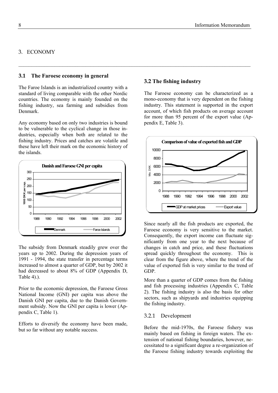### 3. ECONOMY

#### **3.1 The Faroese economy in general**

The Faroe Islands is an industrialized country with a standard of living comparable with the other Nordic countries. The economy is mainly founded on the fishing industry, sea farming and subsidies from Denmark.

Any economy based on only two industries is bound to be vulnerable to the cyclical change in those industries, especially when both are related to the fishing industry. Prices and catches are volatile and these have left their mark on the economic history of the islands.



The subsidy from Denmark steadily grew over the years up to 2002. During the depression years of 1991 - 1994, the state transfer in percentage terms increased to almost a quarter of GDP, but by 2002 it had decreased to about 8% of GDP (Appendix D, Table 4).).

Prior to the economic depression, the Faroese Gross National Income (GNI) per capita was above the Danish GNI per capita, due to the Danish Government subsidy. Now the GNI per capita is lower (Appendix C, Table 1).

Efforts to diversify the economy have been made, but so far without any notable success.

#### **3.2 The fishing industry**

 $\mathcal{L}_\mathcal{L} = \{ \mathcal{L}_\mathcal{L} = \{ \mathcal{L}_\mathcal{L} = \{ \mathcal{L}_\mathcal{L} = \{ \mathcal{L}_\mathcal{L} = \{ \mathcal{L}_\mathcal{L} = \{ \mathcal{L}_\mathcal{L} = \{ \mathcal{L}_\mathcal{L} = \{ \mathcal{L}_\mathcal{L} = \{ \mathcal{L}_\mathcal{L} = \{ \mathcal{L}_\mathcal{L} = \{ \mathcal{L}_\mathcal{L} = \{ \mathcal{L}_\mathcal{L} = \{ \mathcal{L}_\mathcal{L} = \{ \mathcal{L}_\mathcal{$ 

The Faroese economy can be characterized as a mono-economy that is very dependent on the fishing industry. This statement is supported in the export account, of which fish products on average account for more than 95 percent of the export value (Appendix E, Table 3).



Since nearly all the fish products are exported, the Faroese economy is very sensitive to the market. Consequently, the export income can fluctuate significantly from one year to the next because of changes in catch and price, and these fluctuations spread quickly throughout the economy. This is clear from the figure above, where the trend of the value of exported fish is very similar to the trend of GDP.

More than a quarter of GDP comes from the fishing and fish processing industries (Appendix C, Table 2). The fishing industry is also the basis for other sectors, such as shipyards and industries equipping the fishing industry.

#### 3.2.1 Development

Before the mid-1970s, the Faroese fishery was mainly based on fishing in foreign waters. The extension of national fishing boundaries, however, necessitated to a significant degree a re-organization of the Faroese fishing industry towards exploiting the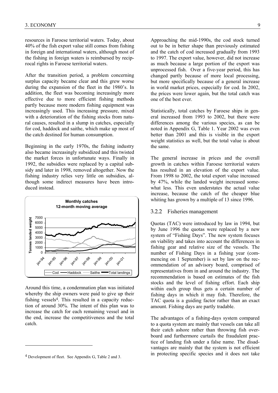resources in Faroese territorial waters. Today, about 40% of the fish export value still comes from fishing in foreign and international waters, although most of the fishing in foreign waters is reimbursed by reciprocal rights in Faroese territorial waters.

After the transition period, a problem concerning surplus capacity became clear and this grew worse during the expansion of the fleet in the 1980's. In addition, the fleet was becoming increasingly more effective due to more efficient fishing methods partly because more modern fishing equipment was increasingly used. This increasing pressure, mixed with a deterioration of the fishing stocks from natural causes, resulted in a slump in catches, especially for cod, haddock and saithe, which make up most of the catch destined for human consumption.

Beginning in the early 1970s, the fishing industry also became increasingly subsidized and this twisted the market forces in unfortunate ways. Finally in 1992, the subsidies were replaced by a capital subsidy and later in 1998, removed altogether. Now the fishing industry relies very little on subsidies, although some indirect measures have been introduced instead.



Around this time, a condemnation plan was initiated whereby the ship owners were paid to give up their fishing vessels4. This resulted in a capacity reduction of around 30%. The intent of this plan was to increase the catch for each remaining vessel and in the end, increase the competitiveness and the total catch.

 $\overline{a}$ 

Approaching the mid-1990s, the cod stock turned out to be in better shape than previously estimated and the catch of cod increased gradually from 1993 to 1997. The export value, however, did not increase as much because a large portion of the export was unprocessed fish. Over a five-year period, this has changed partly because of more local processing, but more specifically because of a general increase in world market prices, especially for cod. In 2002, the prices were lower again, but the total catch was one of the best ever.

Statistically, total catches by Faroese ships in general increased from 1993 to 2002, but there were differences among the various species, as can be noted in Appendix G, Table 1. Year 2002 was even better than 2001 and this is visible in the export weight statistics as well, but the total value is about the same.

The general increase in prices and the overall growth in catches within Faroese territorial waters has resulted in an elevation of the export value. From 1998 to 2002, the total export value increased by 47%, while the landed weight increased somewhat less. This even understates the actual value increase, because the catch of the cheaper blue whiting has grown by a multiple of 13 since 1996.

#### 3.2.2 Fisheries management

Quotas (TAC) were introduced by law in 1994, but by June 1996 the quotas were replaced by a new system of "Fishing Days". The new system focuses on viability and takes into account the differences in fishing gear and relative size of the vessels. The number of Fishing Days in a fishing year (commencing on 1 September) is set by law on the recommendation of an advisory board, comprised of representatives from in and around the industry. The recommendation is based on estimates of the fish stocks and the level of fishing effort. Each ship within each group thus gets a certain number of fishing days in which it may fish. Therefore, the TAC quota is a guiding factor rather than an exact amount. Fishing days are partly tradable.

The advantages of a fishing-days system compared to a quota system are mainly that vessels can take all their catch ashore rather than throwing fish overboard and furthermore curtails the fraudulent practice of landing fish under a false name. The disadvantages are mainly that the system is not efficient in protecting specific species and it does not take

<sup>4</sup> Development of fleet. See Appendix G, Table 2 and 3.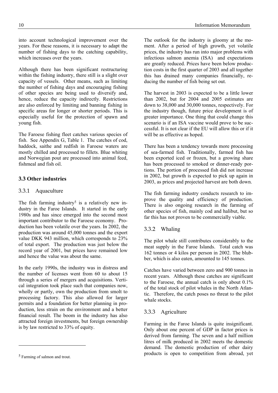into account technological improvement over the years. For these reasons, it is necessary to adapt the number of fishing days to the catching capability, which increases over the years.

Although there has been significant restructuring within the fishing industry, there still is a slight over capacity of vessels. Other means, such as limiting the number of fishing days and encouraging fishing of other species are being used to diversify and, hence, reduce the capacity indirectly. Restrictions are also enforced by limiting and banning fishing in specific areas for longer or shorter periods. This is especially useful for the protection of spawn and young fish.

The Faroese fishing fleet catches various species of fish. See Appendix G, Table 1. The catches of cod, haddock, saithe and redfish in Faroese waters are mostly chilled and processed to fillets. Blue whiting and Norwegian pout are processed into animal feed, fishmeal and fish oil.

# **3.3 Other industries**

#### 3.3.1 Aquaculture

The fish farming industry<sup>5</sup> is a relatively new industry in the Faroe Islands. It started in the early 1980s and has since emerged into the second most important contributor to the Faroese economy. Production has been volatile over the years. In 2002, the production was around 45,000 tonnes and the export value DKK 943 million, which corresponds to 23% of total export. The production was just below the record year of 2001, but prices have remained low and hence the value was about the same.

In the early 1990s, the industry was in distress and the number of licenses went from 60 to about 15 through a series of mergers and acquisitions. Vertical integration took place such that companies now, wholly or partly, own the production from smolt to processing factory. This also allowed for larger permits and a foundation for better planning in production, less strain on the environment and a better financial result. The boom in the industry has also attracted foreign investments, but foreign ownership is by law restricted to 33% of equity.

 $\overline{a}$ 

The outlook for the industry is gloomy at the moment. After a period of high growth, yet volatile prices, the industry has run into major problems with infectious salmon anemia (ISA) and expectations are greatly reduced. Prices have been below production costs in the first quarter of 2003 and all together this has drained many companies financially, reducing the number of fish being set out.

The harvest in 2003 is expected to be a little lower than 2002, but for 2004 and 2005 estimates are down to 38,000 and 30,000 tonnes, respectively. For the industry though, future price development is of greater importance. One thing that could change this scenario is if an ISA vaccine would prove to be successful. It is not clear if the EU will allow this or if it will be as effective as hoped.

There has been a tendency towards more processing of sea-farmed fish. Traditionally, farmed fish has been exported iced or frozen, but a growing share has been processed to smoked or dinner-ready portions. The portion of processed fish did not increase in 2002, but growth is expected to pick up again in 2003, as prices and projected harvest are both down.

The fish farming industry conducts research to improve the quality and efficiency of production. There is also ongoing research in the farming of other species of fish, mainly cod and halibut, but so far this has not proven to be commercially viable.

#### 3.3.2 Whaling

The pilot whale still contributes considerably to the meat supply in the Faroe Islands. Total catch was 162 tonnes or 4 kilos per person in 2002. The blubber, which is also eaten, amounted to 145 tonnes.

Catches have varied between zero and 900 tonnes in recent years. Although these catches are significant to the Faroese, the annual catch is only about 0.1% of the total stock of pilot whales in the North Atlantic. Therefore, the catch poses no threat to the pilot whale stocks.

#### 3.3.3 Agriculture

Farming in the Faroe Islands is quite insignificant. Only about one percent of GDP in factor prices is derived from farming. The seven and a half million litres of milk produced in 2002 meets the domestic demand. The domestic production of other dairy products is open to competition from abroad, yet

<sup>5</sup> Farming of salmon and trout.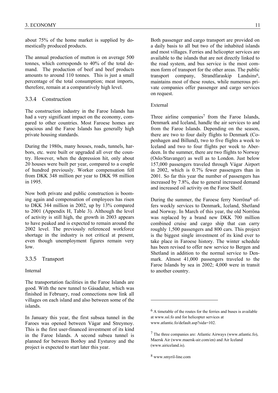about 75% of the home market is supplied by domestically produced products.

The annual production of mutton is on average 500 tonnes, which corresponds to 40% of the total demand. The production of beef and beef products amounts to around 110 tonnes. This is just a small percentage of the total consumption; meat imports, therefore, remain at a comparatively high level.

#### 3.3.4 Construction

The construction industry in the Faroe Islands has had a very significant impact on the economy, compared to other countries. Most Faroese homes are spacious and the Faroe Islands has generally high private housing standards.

During the 1980s, many houses, roads, tunnels, harbors, etc. were built or upgraded all over the country. However, when the depression hit, only about 20 houses were built per year, compared to a couple of hundred previously. Worker compensation fell from DKK 348 million per year to DKK 98 million in 1995.

Now both private and public construction is booming again and compensation of employees has risen to DKK 344 million in 2002, up by 13% compared to 2001 (Appendix H, Table 3). Although the level of activity is still high, the growth in 2003 appears to have peaked and is expected to remain around the 2002 level. The previously referenced workforce shortage in the industry is not critical at present, even though unemployment figures remain very low.

#### 3.3.5 Transport

Internal

The transportation facilities in the Faroe Islands are good. With the new tunnel to Gásadalur, which was finished in February, road connections now link all villages on each island and also between some of the islands.

In January this year, the first subsea tunnel in the Faroes was opened between Vágar and Streymoy. This is the first user-financed investment of its kind in the Faroe Islands. A second subsea tunnel is planned for between Borðoy and Eysturoy and the project is expected to start later this year.

Both passenger and cargo transport are provided on a daily basis to all but two of the inhabited islands and most villages. Ferries and helicopter services are available to the islands that are not directly linked to the road system, and bus service is the most common form of transport for the other areas. The public transport company, Strandfaraskip Landsins<sup>6</sup>, maintains most of these routes, while numerous private companies offer passenger and cargo services on request.

#### External

Three airline companies<sup>7</sup> from the Faroe Islands, Denmark and Iceland, handle the air services to and from the Faroe Islands. Depending on the season, there are two to four daily flights to Denmark (Copenhagen and Billund), two to five flights a week to Iceland and two to four flights per week to Aberdeen. In the summer, there are two flights to Norway (Oslo/Stavanger) as well as to London. Just below 157,000 passengers traveled through Vágar Airport in 2002, which is 0.7% fewer passengers than in 2001. So far this year the number of passengers has increased by 7.8%, due to general increased demand and increased oil activity on the Faroe Shelf.

During the summer, the Faroese ferry Norröna8 offers weekly services to Denmark, Iceland, Shetland and Norway. In March of this year, the old Norröna was replaced by a brand new DKK 700 million combined cruise and cargo ship that can carry roughly 1,500 passengers and 800 cars. This project is the biggest single investment of its kind ever to take place in Faroese history. The winter schedule has been revised to offer new service to Bergen and Shetland in addition to the normal service to Denmark. Almost 41,000 passengers traveled to the Faroe Islands by sea in 2002; 4,000 were in transit to another country.

 $6$  A timetable of the routes for the ferries and buses is available at www.ssl.fo and for helicopter services at www.atlantic.fo/default.asp?sida=102.

<sup>7</sup> The three companies are: Atlantic Airways (www.atlantic.fo), Maersk Air (www.maersk-air.com/en) and Air Iceland (www.airiceland.is).

<sup>8</sup> www.smyril-line.com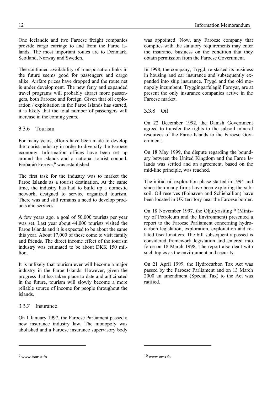One Icelandic and two Faroese freight companies provide cargo carriage to and from the Faroe Islands. The most important routes are to Denmark, Scotland, Norway and Sweden.

The continued availability of transportation links in the future seems good for passengers and cargo alike. Airfare prices have dropped and the route net is under development. The new ferry and expanded travel programs will probably attract more passengers, both Faroese and foreign. Given that oil exploration / exploitation in the Faroe Islands has started, it is likely that the total number of passengers will increase in the coming years.

# 3.3.6 Tourism

For many years, efforts have been made to develop the tourist industry in order to diversify the Faroese economy. Information offices have been set up around the islands and a national tourist council, Ferðaráð Føroya,<sup>9</sup> was established.

The first task for the industry was to market the Faroe Islands as a tourist destination. At the same time, the industry has had to build up a domestic network, designed to service organized tourism. There was and still remains a need to develop products and services.

A few years ago, a goal of 50,000 tourists per year was set. Last year about 44,000 tourists visited the Faroe Islands and it is expected to be about the same this year. About 17,000 of these come to visit family and friends. The direct income effect of the tourism industry was estimated to be about DKK 150 million.

It is unlikely that tourism ever will become a major industry in the Faroe Islands. However, given the progress that has taken place to date and anticipated in the future, tourism will slowly become a more reliable source of income for people throughout the islands.

# 3.3.7 Insurance

On 1 January 1997, the Faroese Parliament passed a new insurance industry law. The monopoly was abolished and a Faroese insurance supervisory body

was appointed. Now, any Faroese company that complies with the statutory requirements may enter the insurance business on the condition that they obtain permission from the Faroese Government.

In 1998, the company, Trygd, re-started its business in housing and car insurance and subsequently expanded into ship insurance. Trygd and the old monopoly incumbent, Tryggingarfelagið Føroyar, are at present the only insurance companies active in the Faroese market.

### 3.3.8 Oil

On 22 December 1992, the Danish Government agreed to transfer the rights to the subsoil mineral resources of the Faroe Islands to the Faroese Government.

On 18 May 1999, the dispute regarding the boundary between the United Kingdom and the Faroe Islands was settled and an agreement, based on the mid-line principle, was reached.

The initial oil exploration phase started in 1994 and since then many firms have been exploring the subsoil. Oil reserves (Foinaven and Schiehallion) have been located in UK territory near the Faroese border.

On 18 November 1997, the Oljufyrisiting10 (Ministry of Petroleum and the Environment) presented a report to the Faroese Parliament concerning hydrocarbon legislation, exploration, exploitation and related fiscal matters. The bill subsequently passed is considered framework legislation and entered into force on 18 March 1998. The report also dealt with such topics as the environment and security.

On 21 April 1999, the Hydrocarbon Tax Act was passed by the Faroese Parliament and on 13 March 2000 an amendment (Special Tax) to the Act was ratified.

 $\overline{a}$ 

<sup>9</sup> www.tourist.fo

<sup>10</sup> www.oms.fo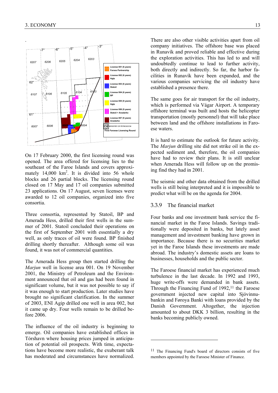

On 17 February 2000, the first licensing round was opened. The area offered for licensing lies to the southeast of the Faroe Islands and covers approximately 14,000  $km^2$ . It is divided into 56 whole blocks and 26 partial blocks. The licensing round closed on 17 May and 17 oil companies submitted 23 applications. On 17 August, seven licenses were awarded to 12 oil companies, organized into five consortia.

Three consortia, represented by Statoil, BP and Amerada Hess, drilled their first wells in the summer of 2001. Statoil concluded their operations on the first of September 2001 with essentially a dry well, as only traces of oil were found. BP finished drilling shortly thereafter. Although some oil was found, it was not of commercial quantities.

The Amerada Hess group then started drilling the *Marjun* well in license area 001. On 19 November 2001, the Ministry of Petroleum and the Environment announced that oil and gas had been found in significant volume, but it was not possible to say if it was enough to start production. Later studies have brought no significant clarification. In the summer of 2003, ENI Agip drilled one well in area 002, but it came up dry. Four wells remain to be drilled before 2006.

The influence of the oil industry is beginning to emerge. Oil companies have established offices in Tórshavn where housing prices jumped in anticipation of potential oil prospects. With time, expectations have become more realistic, the exuberant talk has moderated and circumstances have normalized.

There are also other visible activities apart from oil company initiatives. The offshore base was placed in Runavík and proved reliable and effective during the exploration activities. This has led to and will undoubtedly continue to lead to further activity, both directly and indirectly. So far, the harbor facilities in Runavík have been expanded, and the various companies servicing the oil industry have established a presence there.

The same goes for air transport for the oil industry, which is performed via Vágar Airport. A temporary offshore terminal was built and hosts the helicopter transportation (mostly personnel) that will take place between land and the offshore installations in Faroese waters.

It is hard to estimate the outlook for future activity. The *Marjun* drilling site did not strike oil in the expected sediment and, therefore, the oil companies have had to review their plans. It is still unclear when Amerada Hess will follow up on the promising find they had in 2001.

The seismic and other data obtained from the drilled wells is still being interpreted and it is impossible to predict what will be on the agenda for 2004.

#### 3.3.9 The financial market

Four banks and one investment bank service the financial market in the Faroe Islands. Savings traditionally were deposited in banks, but lately asset management and investment banking have grown in importance. Because there is no securities market yet in the Faroe Islands these investments are made abroad. The industry's domestic assets are loans to businesses, households and the public sector.

The Faroese financial market has experienced much turbulence in the last decade. In 1992 and 1993, huge write-offs were demanded in bank assets. Through the Financing Fund of  $1992$ ,<sup>11</sup> the Faroese government injected new capital into Sjóvinnubankin and Føroya Banki with loans provided by the Danish Government. Altogether, the injection amounted to about DKK 3 billion, resulting in the banks becoming publicly owned.

<sup>11</sup> The Financing Fund's board of directors consists of five members appointed by the Faroese Minister of Finance.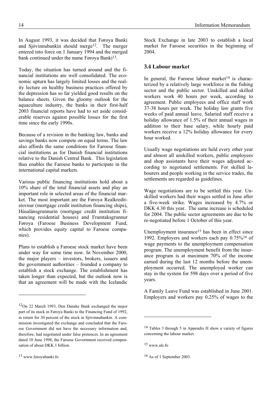Today, the situation has turned around and the financial institutions are well consolidated. The economic upturn has largely limited losses and the reality lecture on healthy business practices offered by the depression has so far yielded good results on the balance sheets. Given the gloomy outlook for the aquaculture industry, the banks in their first-half 2003 financial reports have had to set aside considerable reserves against possible losses for the first time since the early 1990s.

Because of a revision in the banking law, banks and savings banks now compete on equal terms. The law also affords the same conditions for Faroese financial institutions as for Danish financial institutions relative to the Danish Central Bank. This legislation thus enables the Faroese banks to participate in the international capital markets.

Various public financing institutions hold about a 10% share of the total financial assets and play an important role in selected areas of the financial market. The most important are the Føroya Realkreditstovnur (mortgage credit institution financing ships), Húsalánsgrunnurin (mortgage credit institution financing residential houses) and Framtaksgrunnur Føroya (Faroese Business Development Fund, which provides equity capital to Faroese companies).

Plans to establish a Faroese stock market have been under way for some time now. In November 2000, the major players – investors, brokers, issuers and the government authorities – founded a company to establish a stock exchange. The establishment has taken longer than expected, but the outlook now is that an agreement will be made with the Icelandic

Stock Exchange in late 2003 to establish a local market for Faroese securities in the beginning of 2004.

# **3.4 Labour market**

In general, the Faroese labour market<sup>14</sup> is characterized by a relatively large workforce in the fishing sector and the public sector. Unskilled and skilled workers work 40 hours per week, according to agreement. Public employees and office staff work 37-38 hours per week. The holiday law grants five weeks of paid annual leave. Salaried staff receive a holiday allowance of 1.5% of their annual wages in addition to their base salary, while hourly paid workers receive a 12% holiday allowance for every hour worked.

Usually wage negotiations are held every other year and almost all unskilled workers, public employees and shop assistants have their wages adjusted according to negotiated settlements. For skilled labourers and people working in the service trades, the settlements are regarded as guidelines.

Wage negotiations are to be settled this year. Unskilled workers had their wages settled in June after a five-week strike. Wages increased by 4.7% or DKK 4.30 this year. The same increase is scheduled for 2004. The public sector agreements are due to be re-negotiated before 1 October of this year.

Unemployment insurance<sup>15</sup> has been in effect since 1992. Employers and workers each pay 0.75%16 of wage payments to the unemployment compensation program. The unemployment benefit from the insurance program is at maximum 70% of the income earned during the last 12 months before the unemployment occurred. The unemployed worker can stay in the system for 598 days over a period of five years.

A Family Leave Fund was established in June 2001. Employers and workers pay 0.25% of wages to the

l

<sup>12</sup>On 22 March 1993, Den Danske Bank exchanged the major part of its stock in Føroya Banki to the Financing Fund of 1992, in return for 30 percent of the stock in Sjóvinnubankin. A commission investigated the exchange and concluded that the Faroese Government did not have the necessary information and, therefore, had negotiated under false pretences. In an agreement dated 10 June 1998, the Faroese Government received compensation of about DKK 1 billion.

<sup>14</sup> Tables 3 through 5 in Appendix H show a variety of figures concerning the labour market.

<sup>15</sup> www.als.fo

<sup>16</sup> As of 1 September 2003.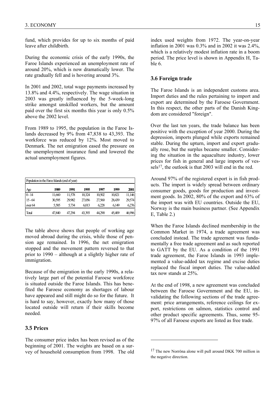fund, which provides for up to six months of paid leave after childbirth.

During the economic crisis of the early 1990s, the Faroe Islands experienced an unemployment rate of around 20%, which is now dramatically lower. The rate gradually fell and is hovering around 3%.

In 2001 and 2002, total wage payments increased by 13.8% and 4.4%, respectively. The wage situation in 2003 was greatly influenced by the 5-week-long strike amongst unskilled workers, but the amount paid over the first six months this year is only 0.5% above the 2002 level.

From 1989 to 1995, the population in the Faroe Islands decreased by 9% from 47,838 to 43,393. The workforce was reduced by 12%. Most moved to Denmark. The net emigration eased the pressure on the unemployment insurance fund and lowered the actual unemployment figures.

| Population in the Farce Islands (end of year) |        |        |        |        |        |        |  |
|-----------------------------------------------|--------|--------|--------|--------|--------|--------|--|
| A <sub>ge</sub>                               | 1989   | 1991   | 1995   | 1997   | 1999   | 2001   |  |
| $0 - 14$                                      | 11,660 | 11,578 | 10,324 | 10,502 | 10,821 | 11,146 |  |
| $15 - 64$                                     | 30,595 | 29,982 | 27,056 | 27,560 | 28,439 | 29,574 |  |
| over 64                                       | 5,585  | 5,734  | 6.013  | 6,228  | 6.149  | 6,276  |  |
| Total                                         | 47,840 | 47.294 | 43,393 | 44.290 | 45,409 | 46,996 |  |

The table above shows that people of working age moved abroad during the crisis, while those of pension age remained. In 1996, the net emigration stopped and the movement pattern reversed to that prior to 1990 – although at a slightly higher rate of immigration.

Because of the emigration in the early 1990s, a relatively large part of the potential Faroese workforce is situated outside the Faroe Islands. This has benefited the Faroese economy as shortages of labour have appeared and still might do so for the future. It is hard to say, however, exactly how many of those located outside will return if their skills become needed.

### **3.5 Prices**

The consumer price index has been revised as of the beginning of 2001. The weights are based on a survey of household consumption from 1998. The old

index used weights from 1972. The year-on-year inflation in 2001 was 0.3% and in 2002 it was 2.4%, which is a relatively modest inflation rate in a boom period. The price level is shown in Appendix H, Table 6.

#### **3.6 Foreign trade**

The Faroe Islands is an independent customs area. Import duties and the rules pertaining to import and export are determined by the Faroese Government. In this respect, the other parts of the Danish Kingdom are considered "foreign".

Over the last ten years, the trade balance has been positive with the exception of year 2000. During the depression, imports plunged while exports remained stable. During the upturn, import and export gradually rose, but the surplus became smaller. Considering the situation in the aquaculture industry, lower prices for fish in general and large imports of vessels<sup>17</sup>, the outlook is that 2003 will end in the red.

Around 97% of the registered export is in fish products. The import is widely spread between ordinary consumer goods, goods for production and investment goods. In 2002, 80% of the export and 63% of the import was with EU countries. Outside the EU, Norway is the main business partner. (See Appendix E, Table 2.)

When the Faroe Islands declined membership in the Common Market in 1974, a trade agreement was concluded instead. The trade agreement was fundamentally a free trade agreement and as such reported to GATT by the EU. As a condition of the 1991 trade agreement, the Faroe Islands in 1993 implemented a value-added tax regime and excise duties replaced the fiscal import duties. The value-added tax now stands at 25%.

At the end of 1998, a new agreement was concluded between the Faroese Government and the EU, invalidating the following sections of the trade agreement: price arrangements, reference ceilings for export, restrictions on salmon, statistics control and other product specific agreements. Thus, some 95- 97% of all Faroese exports are listed as free trade.

<sup>&</sup>lt;sup>17</sup> The new Norröna alone will pull around DKK 700 million in the negative direction.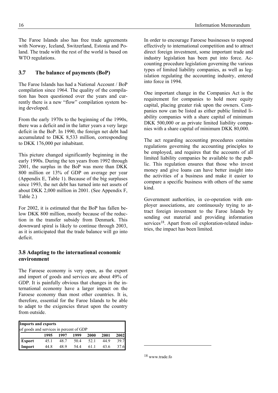The Faroe Islands also has free trade agreements with Norway, Iceland, Switzerland, Estonia and Poland. The trade with the rest of the world is based on WTO regulations.

# **3.7 The balance of payments (BoP)**

The Faroe Islands has had a National Account / BoP compilation since 1964. The quality of the compilation has been questioned over the years and currently there is a new "flow" compilation system being developed.

From the early 1970s to the beginning of the 1990s, there was a deficit and in the latter years a very large deficit in the BoP. In 1990, the foreign net debt had accumulated to DKK 8,533 million, corresponding to DKK 176,000 per inhabitant.

This picture changed significantly beginning in the early 1990s. During the ten years from 1992 through 2001, the surplus in the BoP was more than DKK 800 million or 13% of GDP on average per year (Appendix E, Table 1). Because of the big surpluses since 1993, the net debt has turned into net assets of about DKK 2,000 million in 2001. (See Appendix F, Table 2.)

For 2002, it is estimated that the BoP has fallen below DKK 800 million, mostly because of the reduction in the transfer subsidy from Denmark. This downward spiral is likely to continue through 2003, as it is anticipated that the trade balance will go into deficit.

# **3.8 Adapting to the international economic environment**

The Faroese economy is very open, as the export and import of goods and services are about 49% of GDP. It is painfully obvious that changes in the international economy have a larger impact on the Faroese economy than most other countries. It is, therefore, essential for the Faroe Islands to be able to adapt to the exigencies thrust upon the country from outside.

| <b>Imports and exports</b>              |      |      |      |      |      |      |  |
|-----------------------------------------|------|------|------|------|------|------|--|
| of goods and services in percent of GDP |      |      |      |      |      |      |  |
|                                         | 1995 | 1997 | 1999 | 2000 | 2001 | 2002 |  |
| <b>Export</b>                           | 45 1 | 48.7 | 50.4 | 52.1 | 44.9 | 39.7 |  |
| Import                                  | 44 R | 48.9 | 544  | 61 1 | 43.6 |      |  |

In order to encourage Faroese businesses to respond effectively to international competition and to attract direct foreign investment, some important trade and industry legislation has been put into force. Accounting procedure legislation governing the various types of limited liability companies, as well as legislation regulating the accounting industry, entered into force in 1994.

One important change in the Companies Act is the requirement for companies to hold more equity capital, placing greater risk upon the owners. Companies now can be listed as either public limited liability companies with a share capital of minimum DKK 500,000 or as private limited liability companies with a share capital of minimum DKK 80,000.

The act regarding accounting procedures contains regulations governing the accounting principles to be employed, and requires that the accounts of all limited liability companies be available to the public. This regulation ensures that those who invest money and give loans can have better insight into the activities of a business and make it easier to compare a specific business with others of the same kind.

Government authorities, in co-operation with employer associations, are continuously trying to attract foreign investment to the Faroe Islands by sending out material and providing information services<sup>18</sup>. Apart from oil exploration-related industries, the impact has been limited.

18 www.trade.fo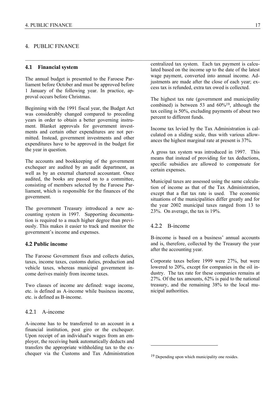#### 4. PUBLIC FINANCE

#### **4.1 Financial system**

The annual budget is presented to the Faroese Parliament before October and must be approved before 1 January of the following year. In practice, approval occurs before Christmas.

Beginning with the 1991 fiscal year, the Budget Act was considerably changed compared to preceding years in order to obtain a better governing instrument. Blanket approvals for government investments and certain other expenditures are not permitted. Instead, government investments and other expenditures have to be approved in the budget for the year in question.

The accounts and bookkeeping of the government exchequer are audited by an audit department, as well as by an external chartered accountant. Once audited, the books are passed on to a committee, consisting of members selected by the Faroese Parliament, which is responsible for the finances of the government.

The government Treasury introduced a new accounting system in 1997. Supporting documentation is required to a much higher degree than previously. This makes it easier to track and monitor the government's income and expenses.

# **4.2 Public income**

The Faroese Government fixes and collects duties, taxes, income taxes, customs duties, production and vehicle taxes, whereas municipal government income derives mainly from income taxes.

Two classes of income are defined: wage income, etc. is defined as A-income while business income, etc. is defined as B-income.

#### 4.2.1 A-income

A-income has to be transferred to an account in a financial institution, post giro or the exchequer. Upon receipt of an individual's wages from an employer, the receiving bank automatically deducts and transfers the appropriate withholding tax to the exchequer via the Customs and Tax Administration

centralized tax system. Each tax payment is calculated based on the income up to the date of the latest wage payment, converted into annual income. Adjustments are made after the close of each year; excess tax is refunded, extra tax owed is collected.

The highest tax rate (government and municipality combined) is between 53 and 60%19, although the tax ceiling is 50%, excluding payments of about two percent to different funds.

Income tax levied by the Tax Administration is calculated on a sliding scale, thus with various allowances the highest marginal rate at present is 37%.

A gross tax system was introduced in 1997. This means that instead of providing for tax deductions, specific subsidies are allowed to compensate for certain expenses.

Municipal taxes are assessed using the same calculation of income as that of the Tax Administration, except that a flat tax rate is used. The economic situations of the municipalities differ greatly and for the year 2002 municipal taxes ranged from 13 to 23%. On average, the tax is 19%.

#### 4.2.2 B-income

l

 $\mathcal{L}_\mathcal{L} = \mathcal{L}_\mathcal{L} = \mathcal{L}_\mathcal{L} = \mathcal{L}_\mathcal{L} = \mathcal{L}_\mathcal{L} = \mathcal{L}_\mathcal{L} = \mathcal{L}_\mathcal{L} = \mathcal{L}_\mathcal{L} = \mathcal{L}_\mathcal{L} = \mathcal{L}_\mathcal{L} = \mathcal{L}_\mathcal{L} = \mathcal{L}_\mathcal{L} = \mathcal{L}_\mathcal{L} = \mathcal{L}_\mathcal{L} = \mathcal{L}_\mathcal{L} = \mathcal{L}_\mathcal{L} = \mathcal{L}_\mathcal{L}$ 

B-income is based on a business' annual accounts and is, therefore, collected by the Treasury the year after the accounting year.

Corporate taxes before 1999 were 27%, but were lowered to 20%, except for companies in the oil industry. The tax rate for these companies remains at 27%. Of the tax amounts, 62% is paid to the national treasury, and the remaining 38% to the local municipal authorities.

<sup>&</sup>lt;sup>19</sup> Depending upon which municipality one resides.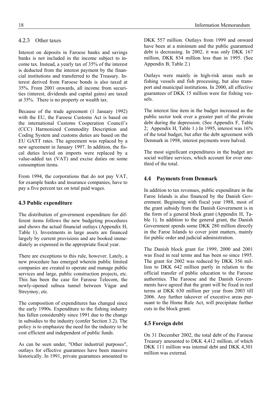Interest on deposits in Faroese banks and savings banks is not included in the income subject to income tax. Instead, a yearly tax of 35% of the interest is deducted from the interest payment by the financial institutions and transferred to the Treasury. Interest derived from Faroese bonds is also taxed at 35%. From 2001 onwards, all income from securities (interest, dividends and capital gains) are taxed at 35%. There is no property or wealth tax.

Because of the trade agreement (1 January 1992) with the EU, the Faroese Customs Act is based on the international Customs Cooperation Council's (CCC) Harmonized Commodity Description and Coding System and customs duties are based on the EU GATT rates. The agreement was replaced by a new agreement in January 1997. In addition, the fiscal duties levied on imports were replaced by a value-added tax (VAT) and excise duties on some consumption items.

From 1994, the corporations that do not pay VAT, for example banks and insurance companies, have to pay a five percent tax on total paid wages.

# **4.3 Public expenditure**

The distribution of government expenditure for different items follows the new budgeting procedures and shows the actual financial outlays (Appendix H, Table 1). Investments in large assets are financed largely by current provisions and are booked immediately as expensed in the appropriate fiscal year.

There are exceptions to this rule, however. Lately, a new procedure has emerged wherein public limited companies are created to operate and manage public services and large, public construction projects, etc. This has been the case for Faroese Telecom, the newly-opened subsea tunnel between Vágar and Streymoy, etc.

The composition of expenditures has changed since the early 1990s. Expenditure to the fishing industry has fallen considerably since 1991 due to the change in subsidies to the industry (confer Section 3.2). The policy is to emphasize the need for the industry to be cost efficient and independent of public funds.

As can be seen under, "Other industrial purposes", outlays for effective guarantees have been massive historically. In 1991, private guarantees amounted to

DKK 557 million. Outlays from 1999 and onward have been at a minimum and the public guaranteed debt is decreasing. In 2002, it was only DKK 167 million, DKK 834 million less than in 1995. (See Appendix B, Table 2.)

Outlays were mainly in high-risk areas such as fishing vessels and fish processing, but also transport and municipal institutions. In 2000, all effective guarantees of DKK 15 million were for fishing vessels.

The interest line item in the budget increased as the public sector took over a greater part of the private debt during the depression. (See Appendix F, Table 2; Appendix H, Table 1.) In 1995, interest was 16% of the total budget, but after the debt agreement with Denmark in 1998, interest payments were halved.

The most significant expenditures in the budget are social welfare services, which account for over onethird of the total.

# **4.4 Payments from Denmark**

In addition to tax revenues, public expenditure in the Faroe Islands is also financed by the Danish Government. Beginning with fiscal year 1988, most of the grant subsidy from the Danish Government is in the form of a general block grant (Appendix H, Table 1). In addition to the general grant, the Danish Government spends some DKK 280 million directly in the Faroe Islands to cover joint matters, mainly for public order and judicial administration.

The Danish block grant for 1999, 2000 and 2001 was fixed in real terms and has been so since 1995. The grant for 2002 was reduced by DKK 356 million to DKK 642 million partly in relation to the official transfer of public education to the Faroese authorities. The Faroese and the Danish Governments have agreed that the grant will be fixed in real terms at DKK 630 million per year from 2003 till 2006. Any further takeover of executive areas pursuant to the Home Rule Act, will precipitate further cuts in the block grant.

# **4.5 Foreign debt**

On 31 December 2002, the total debt of the Faroese Treasury amounted to DKK 4,412 million, of which DKK 111 million was internal debt and DKK 4,301 million was external.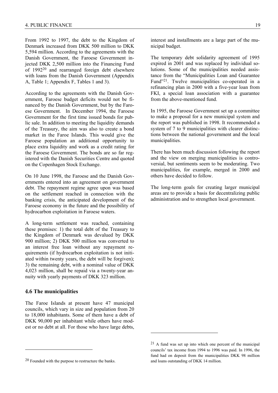From 1992 to 1997, the debt to the Kingdom of Denmark increased from DKK 500 million to DKK 5,594 million. According to the agreements with the Danish Government, the Faroese Government injected DKK 2,500 million into the Financing Fund of 199220 and rearranged foreign debt elsewhere with loans from the Danish Government (Appendix A, Table 1; Appendix F, Tables 1 and 3).

According to the agreements with the Danish Government, Faroese budget deficits would not be financed by the Danish Government, but by the Faroese Government. In December 1994, the Faroese Government for the first time issued bonds for public sale. In addition to meeting the liquidity demands of the Treasury, the aim was also to create a bond market in the Faroe Islands. This would give the Faroese population an additional opportunity to place extra liquidity and work as a credit rating for the Faroese Government. The bonds are so far registered with the Danish Securities Centre and quoted on the Copenhagen Stock Exchange.

On 10 June 1998, the Faroese and the Danish Governments entered into an agreement on government debt. The repayment regime agree upon was based on the settlement reached in connection with the banking crisis, the anticipated development of the Faroese economy in the future and the possibility of hydrocarbon exploitation in Faroese waters.

A long-term settlement was reached, containing these premises: 1) the total debt of the Treasury to the Kingdom of Denmark was devalued by DKK 900 million; 2) DKK 500 million was converted to an interest free loan without any repayment requirements (if hydrocarbon exploitation is not initiated within twenty years, the debt will be forgiven); 3) the remaining debt, with a nominal value of DKK 4,023 million, shall be repaid via a twenty-year annuity with yearly payments of DKK 323 million.

#### **4.6 The municipalities**

l

The Faroe Islands at present have 47 municipal councils, which vary in size and population from 20 to 18,000 inhabitants. Some of them have a debt of DKK 90,000 per inhabitant while others have modest or no debt at all. For those who have large debts,

interest and installments are a large part of the municipal budget.

The temporary debt solidarity agreement of 1995 expired in 2001 and was replaced by individual solutions. Some of the municipalities needed assistance from the "Municipalities Loan and Guarantee Fund"21. Twelve municipalities co-operated in a refinancing plan in 2000 with a five-year loan from FKI, a special loan association with a guarantee from the above-mentioned fund.

In 1995, the Faroese Government set up a committee to make a proposal for a new municipal system and the report was published in 1998. It recommended a system of 7 to 9 municipalities with clearer distinctions between the national government and the local municipalities.

There has been much discussion following the report and the view on merging municipalities is controversial, but sentiments seem to be moderating. Two municipalities, for example, merged in 2000 and others have decided to follow.

The long-term goals for creating larger municipal areas are to provide a basis for decentralizing public administration and to strengthen local government.

<sup>20</sup> Founded with the purpose to restructure the banks.

<sup>21</sup> A fund was set up into which one percent of the municipal councils' tax income from 1994 to 1996 was paid. In 1996, the fund had on deposit from the municipalities DKK 98 million and loans outstanding of DKK 14 million.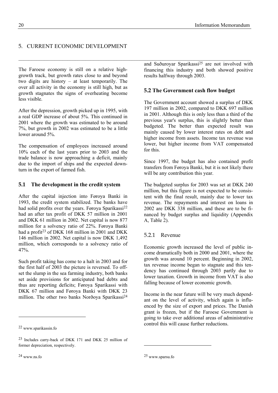# 5. CURRENT ECONOMIC DEVELOPMENT

The Faroese economy is still on a relative highgrowth track, but growth rates close to and beyond two digits are history  $-$  at least temporarily. The over all activity in the economy is still high, but as growth stagnates the signs of overheating become less visible.

After the depression, growth picked up in 1995, with a real GDP increase of about 5%. This continued in 2001 where the growth was estimated to be around 7%, but growth in 2002 was estimated to be a little lower around 5%.

The compensation of employees increased around 10% each of the last years prior to 2003 and the trade balance is now approaching a deficit, mainly due to the import of ships and the expected downturn in the export of farmed fish.

# **5.1 The development in the credit system**

After the capital injection into Føroya Banki in 1993, the credit system stabilized. The banks have had solid profits over the years. Føroya Sparikassi<sup>22</sup> had an after tax profit of DKK 57 million in 2001 and DKK 61 million in 2002. Net capital is now 877 million for a solvency ratio of 22%. Føroya Banki had a profit<sup>23</sup> of DKK 168 million in 2001 and DKK 146 million in 2002. Net capital is now DKK 1,492 million, which corresponds to a solvency ratio of 47%.

Such profit taking has come to a halt in 2003 and for the first half of 2003 the picture is reversed. To offset the slump in the sea farming industry, both banks set aside provisions for anticipated bad debts and thus are reporting deficits; Føroya Sparikassi with DKK 67 million and Føroya Banki with DKK 23 million. The other two banks Norðoya Sparikassi<sup>24</sup>

and Suðuroyar Sparikassi<sup>25</sup> are not involved with financing this industry and both showed positive results halfway through 2003.

# **5.2 The Government cash flow budget**

 $\mathcal{L}_\mathcal{L} = \{ \mathcal{L}_\mathcal{L} = \{ \mathcal{L}_\mathcal{L} = \{ \mathcal{L}_\mathcal{L} = \{ \mathcal{L}_\mathcal{L} = \{ \mathcal{L}_\mathcal{L} = \{ \mathcal{L}_\mathcal{L} = \{ \mathcal{L}_\mathcal{L} = \{ \mathcal{L}_\mathcal{L} = \{ \mathcal{L}_\mathcal{L} = \{ \mathcal{L}_\mathcal{L} = \{ \mathcal{L}_\mathcal{L} = \{ \mathcal{L}_\mathcal{L} = \{ \mathcal{L}_\mathcal{L} = \{ \mathcal{L}_\mathcal{$ 

The Government account showed a surplus of DKK 197 million in 2002, compared to DKK 697 million in 2001. Although this is only less than a third of the previous year's surplus, this is slightly better than budgeted. The better than expected result was mainly caused by lower interest rates on debt and higher income from assets. Income tax revenue was lower, but higher income from VAT compensated for this.

Since 1997, the budget has also contained profit transfers from Føroya Banki, but it is not likely there will be any contribution this year.

The budgeted surplus for 2003 was set at DKK 240 million, but this figure is not expected to be consistent with the final result, mainly due to lower tax revenue. The repayments and interest on loans in 2002 are DKK 338 million, and these are to be financed by budget surplus and liquidity (Appendix A, Table 2).

# 5.2.1 Revenue

Economic growth increased the level of public income dramatically both in 2000 and 2001, where the growth was around 10 percent. Beginning in 2002, tax revenue income began to stagnate and this tendency has continued through 2003 partly due to lower taxation. Growth in income from VAT is also falling because of lower economic growth.

Income in the near future will be very much dependant on the level of activity, which again is influenced by the size of export and prices. The Danish grant is frozen, but if the Faroese Government is going to take over additional areas of administrative control this will cause further reductions.

l

<sup>22</sup> www.sparikassin.fo

<sup>23</sup> Includes carry-back of DKK 171 and DKK 25 million of former depreciation, respectively.

<sup>25</sup> www.sparsu.fo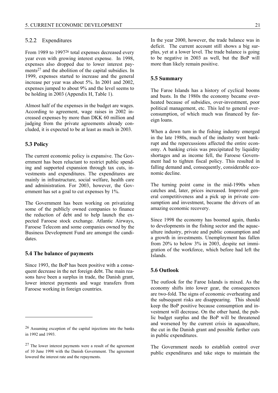#### 5.2.2 Expenditures

From 1989 to 1997<sup>26</sup> total expenses decreased every year even with growing interest expense. In 1998, expenses also dropped due to lower interest payments27 and the abolition of the capital subsidies. In 1999, expenses started to increase and the general increase per year was about 5%. In 2001 and 2002, expenses jumped to about 9% and the level seems to be holding in 2003 (Appendix H, Table 1).

Almost half of the expenses in the budget are wages. According to agreement, wage raises in 2002 increased expenses by more than DKK 60 million and judging from the private agreements already concluded, it is expected to be at least as much in 2003.

#### **5.3 Policy**

l

The current economic policy is expansive. The Government has been reluctant to restrict public spending and supported expansion through tax cuts, investments and expenditures. The expenditures are mainly in infrastructure, social welfare, health care and administration. For 2003, however, the Government has set a goal to cut expenses by 1%.

The Government has been working on privatizing some of the publicly owned companies to finance the reduction of debt and to help launch the expected Faroese stock exchange. Atlantic Airways, Faroese Telecom and some companies owned by the Business Development Fund are amongst the candidates.

## **5.4 The balance of payments**

Since 1993, the BoP has been positive with a consequent decrease in the net foreign debt. The main reasons have been a surplus in trade, the Danish grant, lower interest payments and wage transfers from Faroese working in foreign countries.

In the year 2000, however, the trade balance was in deficit. The current account still shows a big surplus, yet at a lower level. The trade balance is going to be negative in 2003 as well, but the BoP will more than likely remain positive.

#### **5.5 Summary**

The Faroe Islands has a history of cyclical booms and busts. In the 1980s the economy became overheated because of subsidies, over-investment, poor political management, etc. This led to general overconsumption, of which much was financed by foreign loans.

When a down turn in the fishing industry emerged in the late 1980s, much of the industry went bankrupt and the repercussions affected the entire economy. A banking crisis was precipitated by liquidity shortages and as income fell, the Faroese Government had to tighten fiscal policy. This resulted in falling demand and, consequently, considerable economic decline.

The turning point came in the mid-1990s when catches and, later, prices increased. Improved general competitiveness and a pick up in private consumption and investment, became the drivers of an amazing economic recovery.

Since 1998 the economy has boomed again, thanks to developments in the fishing sector and the aquaculture industry, private and public consumption and a growth in investments. Unemployment has fallen from 20% to below 3% in 2003, despite net immigration of the workforce, which before had left the Islands.

#### **5.6 Outlook**

The outlook for the Faroe Islands is mixed. As the economy shifts into lower gear, the consequences are two-fold. The signs of economic overheating and the subsequent risks are disappearing. This should keep the BoP positive because consumption and investment will decrease. On the other hand, the public budget surplus and the BoP will be threatened and worsened by the current crisis in aquaculture, the cut in the Danish grant and possible further cuts in public expenditures.

The Government needs to establish control over public expenditures and take steps to maintain the

<sup>26</sup> Assuming exception of the capital injections into the banks in 1992 and 1993.

<sup>27</sup> The lower interest payments were a result of the agreement of 10 June 1998 with the Danish Government. The agreement lowered the interest rate and the repayments.